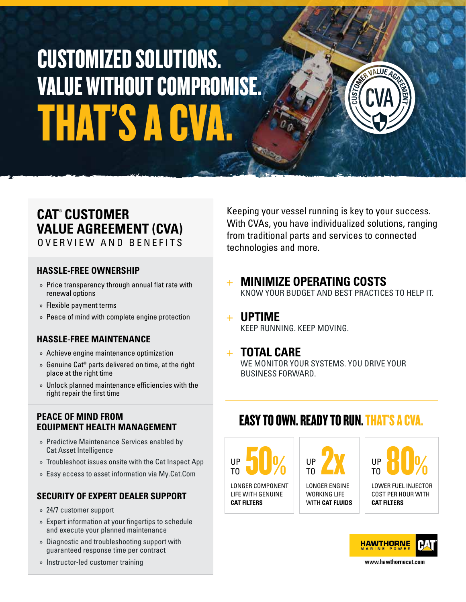# THAT'S A CV CUSTOMIZED SOLUTIONS. VALUE WITHOUT COMPROMISE.

## **CAT® CUSTOMER VALUE AGREEMENT (CVA)**

OVERVIEW AND BENEFITS

#### **HASSLE-FREE OWNERSHIP**

- » Price transparency through annual flat rate with renewal options
- » Flexible payment terms
- » Peace of mind with complete engine protection

#### **HASSLE-FREE MAINTENANCE**

- » Achieve engine maintenance optimization
- » Genuine Cat® parts delivered on time, at the right place at the right time
- » Unlock planned maintenance efficiencies with the right repair the first time

#### **PEACE OF MIND FROM EQUIPMENT HEALTH MANAGEMENT**

- » Predictive Maintenance Services enabled by Cat Asset Intelligence
- » Troubleshoot issues onsite with the Cat Inspect App
- » Easy access to asset information via My.Cat.Com

#### **SECURITY OF EXPERT DEALER SUPPORT**

- » 24/7 customer support
- » Expert information at your fingertips to schedule and execute your planned maintenance
- » Diagnostic and troubleshooting support with guaranteed response time per contract
- » Instructor-led customer training

Keeping your vessel running is key to your success. With CVAs, you have individualized solutions, ranging from traditional parts and services to connected technologies and more.

+ **MINIMIZE OPERATING COSTS**

KNOW YOUR BUDGET AND BEST PRACTICES TO HELP IT.

#### + **UPTIME** KEEP RUNNING. KEEP MOVING.

#### + **TOTAL CARE**

WE MONITOR YOUR SYSTEMS. YOU DRIVE YOUR BUSINESS FORWARD.

### EASY TO OWN. READY TO RUN. THAT'S A CVA.

LONGER COMPONENT LIFE WITH GENUINE **CAT FILTERS** UP 50% TO

UP 2X TO

LONGER ENGINE WORKING LIFE WITH **CAT FLUIDS**

UP 80% TO

LOWER FUEL INJECTOR COST PER HOUR WITH **CAT FILTERS**



www.hawthornecat.com